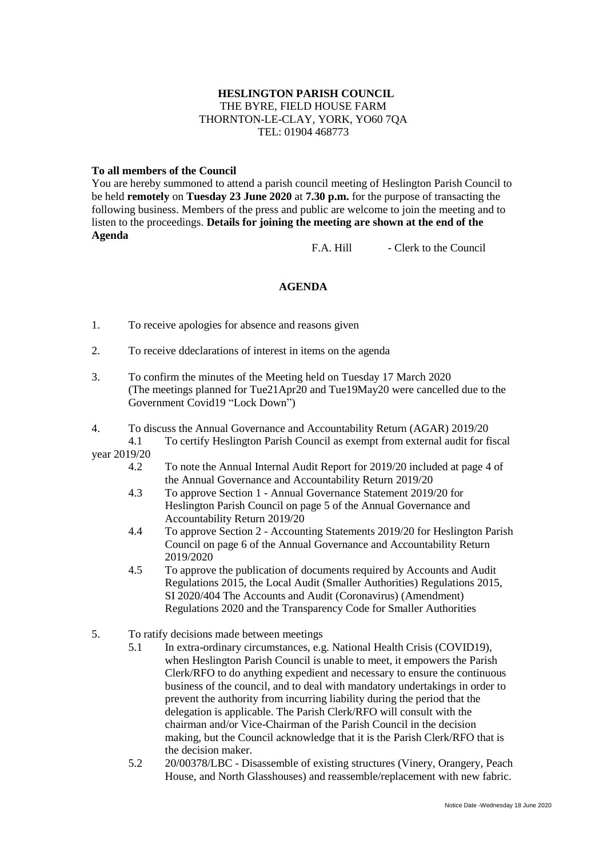## **HESLINGTON PARISH COUNCIL** THE BYRE, FIELD HOUSE FARM THORNTON-LE-CLAY, YORK, YO60 7QA TEL: 01904 468773

## **To all members of the Council**

You are hereby summoned to attend a parish council meeting of Heslington Parish Council to be held **remotely** on **Tuesday 23 June 2020** at **7.30 p.m.** for the purpose of transacting the following business. Members of the press and public are welcome to join the meeting and to listen to the proceedings. **Details for joining the meeting are shown at the end of the Agenda**

F.A. Hill - Clerk to the Council

## **AGENDA**

- 1. To receive apologies for absence and reasons given
- 2. To receive ddeclarations of interest in items on the agenda
- 3. To confirm the minutes of the Meeting held on Tuesday 17 March 2020 (The meetings planned for Tue21Apr20 and Tue19May20 were cancelled due to the Government Covid19 "Lock Down")
- 4. To discuss the Annual Governance and Accountability Return (AGAR) 2019/20
- 4.1 To certify Heslington Parish Council as exempt from external audit for fiscal year 2019/20
	- 4.2 To note the Annual Internal Audit Report for 2019/20 included at page 4 of the Annual Governance and Accountability Return 2019/20
	- 4.3 To approve Section 1 Annual Governance Statement 2019/20 for Heslington Parish Council on page 5 of the Annual Governance and Accountability Return 2019/20
	- 4.4 To approve Section 2 Accounting Statements 2019/20 for Heslington Parish Council on page 6 of the Annual Governance and Accountability Return 2019/2020
	- 4.5 To approve the publication of documents required by Accounts and Audit Regulations 2015, the Local Audit (Smaller Authorities) Regulations 2015, SI 2020/404 The Accounts and Audit (Coronavirus) (Amendment) Regulations 2020 and the Transparency Code for Smaller Authorities
- 5. To ratify decisions made between meetings
	- 5.1 In extra-ordinary circumstances, e.g. National Health Crisis (COVID19), when Heslington Parish Council is unable to meet, it empowers the Parish Clerk/RFO to do anything expedient and necessary to ensure the continuous business of the council, and to deal with mandatory undertakings in order to prevent the authority from incurring liability during the period that the delegation is applicable. The Parish Clerk/RFO will consult with the chairman and/or Vice-Chairman of the Parish Council in the decision making, but the Council acknowledge that it is the Parish Clerk/RFO that is the decision maker.
	- 5.2 20/00378/LBC Disassemble of existing structures (Vinery, Orangery, Peach House, and North Glasshouses) and reassemble/replacement with new fabric.